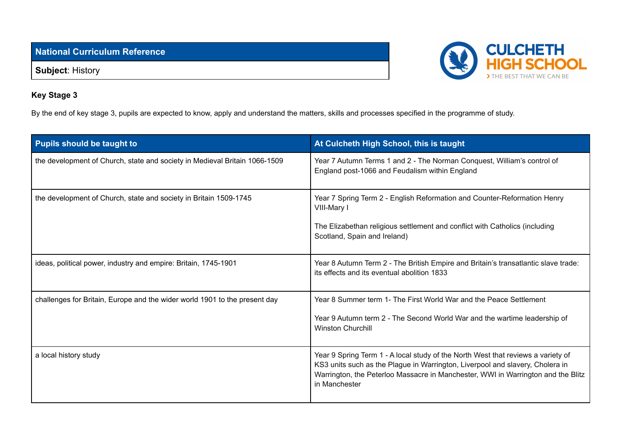**National Curriculum Reference**

**Subject**: History



## **Key Stage 3**

By the end of key stage 3, pupils are expected to know, apply and understand the matters, skills and processes specified in the programme of study.

| <b>Pupils should be taught to</b>                                          | At Culcheth High School, this is taught                                                                                                                                                                                                                                |
|----------------------------------------------------------------------------|------------------------------------------------------------------------------------------------------------------------------------------------------------------------------------------------------------------------------------------------------------------------|
| the development of Church, state and society in Medieval Britain 1066-1509 | Year 7 Autumn Terms 1 and 2 - The Norman Conquest, William's control of<br>England post-1066 and Feudalism within England                                                                                                                                              |
| the development of Church, state and society in Britain 1509-1745          | Year 7 Spring Term 2 - English Reformation and Counter-Reformation Henry<br>VIII-Mary I<br>The Elizabethan religious settlement and conflict with Catholics (including<br>Scotland, Spain and Ireland)                                                                 |
| ideas, political power, industry and empire: Britain, 1745-1901            | Year 8 Autumn Term 2 - The British Empire and Britain's transatlantic slave trade:<br>its effects and its eventual abolition 1833                                                                                                                                      |
| challenges for Britain, Europe and the wider world 1901 to the present day | Year 8 Summer term 1- The First World War and the Peace Settlement<br>Year 9 Autumn term 2 - The Second World War and the wartime leadership of<br><b>Winston Churchill</b>                                                                                            |
| a local history study                                                      | Year 9 Spring Term 1 - A local study of the North West that reviews a variety of<br>KS3 units such as the Plague in Warrington, Liverpool and slavery, Cholera in<br>Warrington, the Peterloo Massacre in Manchester, WWI in Warrington and the Blitz<br>in Manchester |